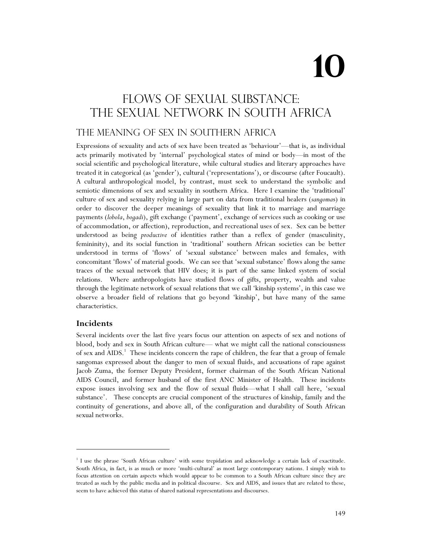# **10**

## Flows of sexual substance: the Sexual Network in South Africa

## The meaning of sex in southern Africa

Expressions of sexuality and acts of sex have been treated as 'behaviour'—that is, as individual acts primarily motivated by 'internal' psychological states of mind or body—in most of the social scientific and psychological literature, while cultural studies and literary approaches have treated it in categorical (as 'gender'), cultural ('representations'), or discourse (after Foucault). A cultural anthropological model, by contrast, must seek to understand the symbolic and semiotic dimensions of sex and sexuality in southern Africa. Here I examine the 'traditional' culture of sex and sexuality relying in large part on data from traditional healers (*sangoma*s) in order to discover the deeper meanings of sexuality that link it to marriage and marriage payments (*lobola*, *bogadi*), gift exchange ('payment', exchange of services such as cooking or use of accommodation, or affection), reproduction, and recreational uses of sex. Sex can be better understood as being *productive* of identities rather than a reflex of gender (masculinity, femininity), and its social function in 'traditional' southern African societies can be better understood in terms of 'flows' of 'sexual substance' between males and females, with concomitant 'flows' of material goods. We can see that 'sexual substance' flows along the same traces of the sexual network that HIV does; it is part of the same linked system of social relations. Where anthropologists have studied flows of gifts, property, wealth and value through the legitimate network of sexual relations that we call 'kinship systems', in this case we observe a broader field of relations that go beyond 'kinship', but have many of the same characteristics.

### **Incidents**

 $\overline{a}$ 

Several incidents over the last five years focus our attention on aspects of sex and notions of blood, body and sex in South African culture— what we might call the national consciousness of sex and AIDS.<sup>1</sup> These incidents concern the rape of children, the fear that a group of female sangomas expressed about the danger to men of sexual fluids, and accusations of rape against Jacob Zuma, the former Deputy President, former chairman of the South African National AIDS Council, and former husband of the first ANC Minister of Health. These incidents expose issues involving sex and the flow of sexual fluids—what I shall call here, 'sexual substance'. These concepts are crucial component of the structures of kinship, family and the continuity of generations, and above all, of the configuration and durability of South African sexual networks.

<sup>&</sup>lt;sup>1</sup> I use the phrase 'South African culture' with some trepidation and acknowledge a certain lack of exactitude. South Africa, in fact, is as much or more 'multi-cultural' as most large contemporary nations. I simply wish to focus attention on certain aspects which would appear to be common to a South African culture since they are treated as such by the public media and in political discourse. Sex and AIDS, and issues that are related to these, seem to have achieved this status of shared national representations and discourses.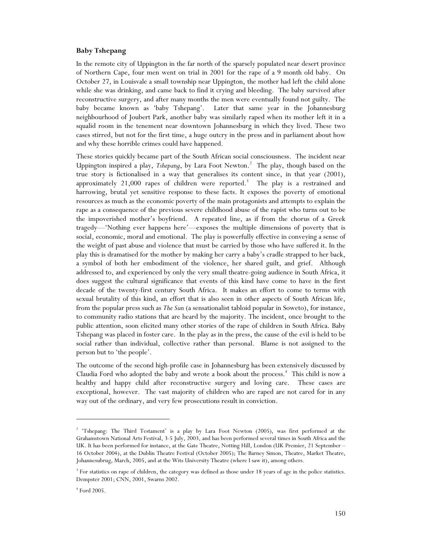#### **Baby Tshepang**

In the remote city of Uppington in the far north of the sparsely populated near desert province of Northern Cape, four men went on trial in 2001 for the rape of a 9 month old baby. On October 27, in Louisvale a small township near Uppington, the mother had left the child alone while she was drinking, and came back to find it crying and bleeding. The baby survived after reconstructive surgery, and after many months the men were eventually found not guilty. The baby became known as 'baby Tshepang'. Later that same year in the Johannesburg neighbourhood of Joubert Park, another baby was similarly raped when its mother left it in a squalid room in the tenement near downtown Johannesburg in which they lived. These two cases stirred, but not for the first time, a huge outcry in the press and in parliament about how and why these horrible crimes could have happened.

These stories quickly became part of the South African social consciousness. The incident near Uppington inspired a play, *Tshepang*, by Lara Foot Newton.<sup>2</sup> The play, though based on the true story is fictionalised in a way that generalises its content since, in that year (2001), approximately 21,000 rapes of children were reported.<sup>3</sup> The play is a restrained and harrowing, brutal yet sensitive response to these facts. It exposes the poverty of emotional resources as much as the economic poverty of the main protagonists and attempts to explain the rape as a consequence of the previous severe childhood abuse of the rapist who turns out to be the impoverished mother's boyfriend. A repeated line, as if from the chorus of a Greek tragedy—'Nothing ever happens here'—exposes the multiple dimensions of poverty that is social, economic, moral and emotional. The play is powerfully effective in conveying a sense of the weight of past abuse and violence that must be carried by those who have suffered it. In the play this is dramatised for the mother by making her carry a baby's cradle strapped to her back, a symbol of both her embodiment of the violence, her shared guilt, and grief. Although addressed to, and experienced by only the very small theatre-going audience in South Africa, it does suggest the cultural significance that events of this kind have come to have in the first decade of the twenty-first century South Africa. It makes an effort to come to terms with sexual brutality of this kind, an effort that is also seen in other aspects of South African life, from the popular press such as *The Sun* (a sensationalist tabloid popular in Soweto), for instance, to community radio stations that are heard by the majority. The incident, once brought to the public attention, soon elicited many other stories of the rape of children in South Africa. Baby Tshepang was placed in foster care. In the play as in the press, the cause of the evil is held to be social rather than individual, collective rather than personal. Blame is not assigned to the person but to 'the people'.

The outcome of the second high-profile case in Johannesburg has been extensively discussed by Claudia Ford who adopted the baby and wrote a book about the process.<sup>4</sup> This child is now a healthy and happy child after reconstructive surgery and loving care. These cases are exceptional, however. The vast majority of children who are raped are not cared for in any way out of the ordinary, and very few prosecutions result in conviction.

<sup>2</sup> 'Tshepang: The Third Testament' is a play by Lara Foot Newton (2005), was first performed at the Grahamstown National Arts Festival, 3-5 July, 2003, and has been performed several times in South Africa and the UK. It has been performed for instance, at the Gate Theatre, Notting Hill, London (UK Premier, 21 September – 16 October 2004), at the Dublin Theatre Festival (October 2005); The Barney Simon, Theatre, Market Theatre, Johannesubrug, March, 2005, and at the Wits University Theatre (where I saw it), among others.

<sup>&</sup>lt;sup>3</sup> For statistics on rape of children, the category was defined as those under 18 years of age in the police statistics. Dempster 2001; CNN, 2001, Swarns 2002.

<sup>4</sup> Ford 2005.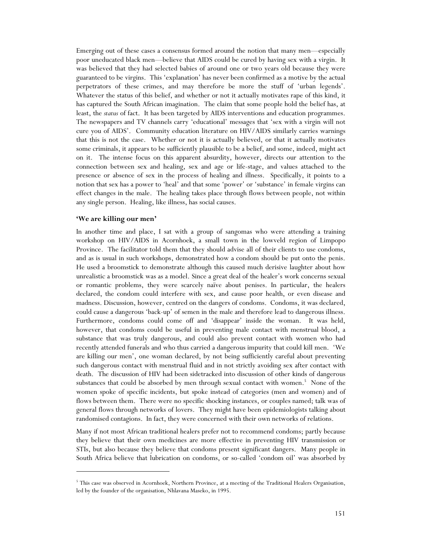Emerging out of these cases a consensus formed around the notion that many men—especially poor uneducated black men—believe that AIDS could be cured by having sex with a virgin. It was believed that they had selected babies of around one or two years old because they were guaranteed to be virgins. This 'explanation' has never been confirmed as a motive by the actual perpetrators of these crimes, and may therefore be more the stuff of 'urban legends'. Whatever the status of this belief, and whether or not it actually motivates rape of this kind, it has captured the South African imagination. The claim that some people hold the belief has, at least, the *status* of fact. It has been targeted by AIDS interventions and education programmes. The newspapers and TV channels carry 'educational' messages that 'sex with a virgin will not cure you of AIDS'. Community education literature on HIV/AIDS similarly carries warnings that this is not the case. Whether or not it is actually believed, or that it actually motivates some criminals, it appears to be sufficiently plausible to be a belief, and some, indeed, might act on it. The intense focus on this apparent absurdity, however, directs our attention to the connection between sex and healing, sex and age or life-stage, and values attached to the presence or absence of sex in the process of healing and illness. Specifically, it points to a notion that sex has a power to 'heal' and that some 'power' or 'substance' in female virgins can effect changes in the male. The healing takes place through flows between people, not within any single person. Healing, like illness, has social causes.

#### **'We are killing our men'**

 $\overline{a}$ 

In another time and place, I sat with a group of sangomas who were attending a training workshop on HIV/AIDS in Acornhoek, a small town in the lowveld region of Limpopo Province. The facilitator told them that they should advise all of their clients to use condoms, and as is usual in such workshops, demonstrated how a condom should be put onto the penis. He used a broomstick to demonstrate although this caused much derisive laughter about how unrealistic a broomstick was as a model. Since a great deal of the healer's work concerns sexual or romantic problems, they were scarcely naïve about penises. In particular, the healers declared, the condom could interfere with sex, and cause poor health, or even disease and madness. Discussion, however, centred on the dangers of condoms. Condoms, it was declared, could cause a dangerous 'back-up' of semen in the male and therefore lead to dangerous illness. Furthermore, condoms could come off and 'disappear' inside the woman. It was held, however, that condoms could be useful in preventing male contact with menstrual blood, a substance that was truly dangerous, and could also prevent contact with women who had recently attended funerals and who thus carried a dangerous impurity that could kill men. 'We are killing our men', one woman declared, by not being sufficiently careful about preventing such dangerous contact with menstrual fluid and in not strictly avoiding sex after contact with death. The discussion of HIV had been sidetracked into discussion of other kinds of dangerous substances that could be absorbed by men through sexual contact with women.<sup>5</sup> None of the women spoke of specific incidents, but spoke instead of categories (men and women) and of flows between them. There were no specific shocking instances, or couples named; talk was of general flows through networks of lovers. They might have been epidemiologists talking about randomised contagions. In fact, they were concerned with their own networks of relations.

Many if not most African traditional healers prefer not to recommend condoms; partly because they believe that their own medicines are more effective in preventing HIV transmission or STIs, but also because they believe that condoms present significant dangers. Many people in South Africa believe that lubrication on condoms, or so-called 'condom oil' was absorbed by

<sup>&</sup>lt;sup>5</sup> This case was observed in Acornhoek, Northern Province, at a meeting of the Traditional Healers Organisation, led by the founder of the organisation, Nhlavana Maseko, in 1995.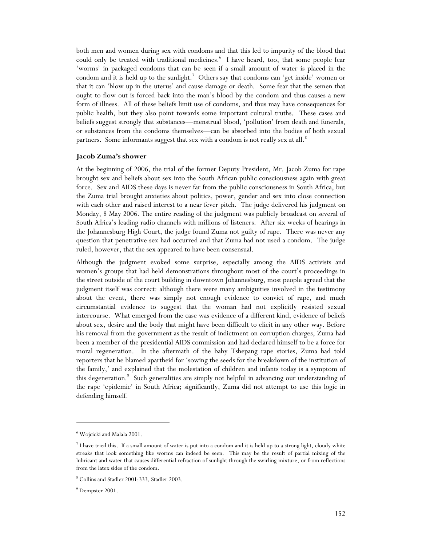both men and women during sex with condoms and that this led to impurity of the blood that could only be treated with traditional medicines.<sup>6</sup> I have heard, too, that some people fear 'worms' in packaged condoms that can be seen if a small amount of water is placed in the condom and it is held up to the sunlight.<sup>7</sup> Others say that condoms can 'get inside' women or that it can 'blow up in the uterus' and cause damage or death. Some fear that the semen that ought to flow out is forced back into the man's blood by the condom and thus causes a new form of illness. All of these beliefs limit use of condoms, and thus may have consequences for public health, but they also point towards some important cultural truths. These cases and beliefs suggest strongly that substances—menstrual blood, 'pollution' from death and funerals, or substances from the condoms themselves—can be absorbed into the bodies of both sexual partners. Some informants suggest that sex with a condom is not really sex at all. $^8$ 

#### **Jacob Zuma's shower**

At the beginning of 2006, the trial of the former Deputy President, Mr. Jacob Zuma for rape brought sex and beliefs about sex into the South African public consciousness again with great force. Sex and AIDS these days is never far from the public consciousness in South Africa, but the Zuma trial brought anxieties about politics, power, gender and sex into close connection with each other and raised interest to a near fever pitch. The judge delivered his judgment on Monday, 8 May 2006. The entire reading of the judgment was publicly broadcast on several of South Africa's leading radio channels with millions of listeners. After six weeks of hearings in the Johannesburg High Court, the judge found Zuma not guilty of rape. There was never any question that penetrative sex had occurred and that Zuma had not used a condom. The judge ruled, however, that the sex appeared to have been consensual.

Although the judgment evoked some surprise, especially among the AIDS activists and women's groups that had held demonstrations throughout most of the court's proceedings in the street outside of the court building in downtown Johannesburg, most people agreed that the judgment itself was correct: although there were many ambiguities involved in the testimony about the event, there was simply not enough evidence to convict of rape, and much circumstantial evidence to suggest that the woman had not explicitly resisted sexual intercourse. What emerged from the case was evidence of a different kind, evidence of beliefs about sex, desire and the body that might have been difficult to elicit in any other way. Before his removal from the government as the result of indictment on corruption charges, Zuma had been a member of the presidential AIDS commission and had declared himself to be a force for moral regeneration. In the aftermath of the baby Tshepang rape stories, Zuma had told reporters that he blamed apartheid for 'sowing the seeds for the breakdown of the institution of the family,' and explained that the molestation of children and infants today is a symptom of this degeneration.<sup>9</sup> Such generalities are simply not helpful in advancing our understanding of the rape 'epidemic' in South Africa; significantly, Zuma did not attempt to use this logic in defending himself.

 $<sup>6</sup>$  Wojcicki and Malala 2001.</sup>

<sup>&</sup>lt;sup>7</sup> I have tried this. If a small amount of water is put into a condom and it is held up to a strong light, cloudy white streaks that look something like worms can indeed be seen. This may be the result of partial mixing of the lubricant and water that causes differential refraction of sunlight through the swirling mixture, or from reflections from the latex sides of the condom.

<sup>8</sup> Collins and Stadler 2001:333, Stadler 2003.

<sup>&</sup>lt;sup>9</sup> Dempster 2001.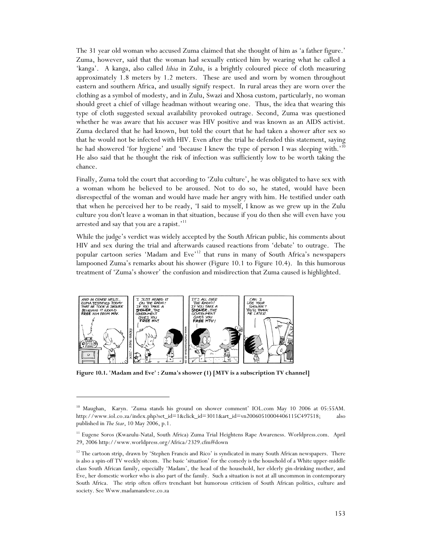The 31 year old woman who accused Zuma claimed that she thought of him as 'a father figure.' Zuma, however, said that the woman had sexually enticed him by wearing what he called a 'kanga'. A kanga, also called *lihia* in Zulu, is a brightly coloured piece of cloth measuring approximately 1.8 meters by 1.2 meters. These are used and worn by women throughout eastern and southern Africa, and usually signify respect. In rural areas they are worn over the clothing as a symbol of modesty, and in Zulu, Swazi and Xhosa custom, particularly, no woman should greet a chief of village headman without wearing one. Thus, the idea that wearing this type of cloth suggested sexual availability provoked outrage. Second, Zuma was questioned whether he was aware that his accuser was HIV positive and was known as an AIDS activist. Zuma declared that he had known, but told the court that he had taken a shower after sex so that he would not be infected with HIV. Even after the trial he defended this statement, saying he had showered 'for hygiene' and 'because I knew the type of person I was sleeping with.'<sup>10</sup> He also said that he thought the risk of infection was sufficiently low to be worth taking the chance.

Finally, Zuma told the court that according to 'Zulu culture', he was obligated to have sex with a woman whom he believed to be aroused. Not to do so, he stated, would have been disrespectful of the woman and would have made her angry with him. He testified under oath that when he perceived her to be ready, 'I said to myself, I know as we grew up in the Zulu culture you don't leave a woman in that situation, because if you do then she will even have you arrested and say that you are a rapist.<sup>'11</sup>

While the judge's verdict was widely accepted by the South African public, his comments about HIV and sex during the trial and afterwards caused reactions from 'debate' to outrage. The popular cartoon series 'Madam and Eve'12 that runs in many of South Africa's newspapers lampooned Zuma's remarks about his shower (Figure 10.1 to Figure 10.4). In this humorous treatment of 'Zuma's shower' the confusion and misdirection that Zuma caused is highlighted.



**Figure 10.1. 'Madam and Eve' : Zuma's shower (1) [MTV is a subscription TV channel]** 

<sup>10</sup> Maughan, Karyn. 'Zuma stands his ground on shower comment' IOL.com May 10 2006 at 05:55AM. http://www.iol.co.za/index.php?set\_id=1&click\_id=3011&art\_id=vn20060510004406115C497518; also published in *The Star*, 10 May 2006, p.1.

<sup>11</sup> Eugene Soros (Kwazulu-Natal, South Africa) Zuma Trial Heightens Rape Awareness. Worldpress.com. April 29, 2006 http://www.worldpress.org/Africa/2329.cfm#down

<sup>&</sup>lt;sup>12</sup> The cartoon strip, drawn by 'Stephen Francis and Rico' is syndicated in many South African newspapers. There is also a spin-off TV weekly sitcom. The basic 'situation' for the comedy is the household of a White upper-middle class South African family, especially 'Madam', the head of the household, her elderly gin-drinking mother, and Eve, her domestic worker who is also part of the family. Such a situation is not at all uncommon in contemporary South Africa. The strip often offers trenchant but humorous criticism of South African politics, culture and society. See Www.madamandeve.co.za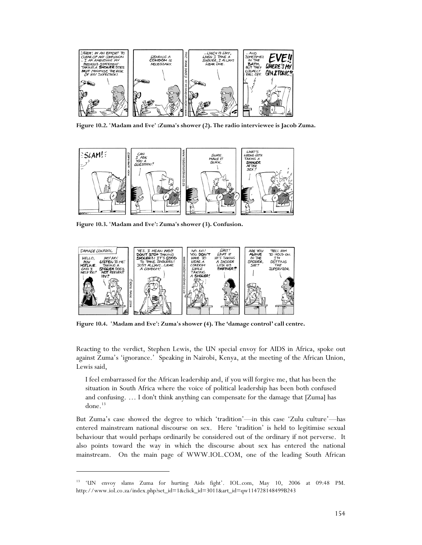

**Figure 10.2. 'Madam and Eve' :Zuma's shower (2). The radio interviewee is Jacob Zuma.** 



**Figure 10.3. 'Madam and Eve': Zuma's shower (3). Confusion.** 

 $\overline{a}$ 



**Figure 10.4. 'Madam and Eve': Zuma's shower (4). The 'damage control' call centre.** 

Reacting to the verdict, Stephen Lewis, the UN special envoy for AIDS in Africa, spoke out against Zuma's 'ignorance.' Speaking in Nairobi, Kenya, at the meeting of the African Union, Lewis said,

I feel embarrassed for the African leadership and, if you will forgive me, that has been the situation in South Africa where the voice of political leadership has been both confused and confusing. … I don't think anything can compensate for the damage that [Zuma] has done.<sup>13</sup>

But Zuma's case showed the degree to which 'tradition'—in this case 'Zulu culture'—has entered mainstream national discourse on sex. Here 'tradition' is held to legitimise sexual behaviour that would perhaps ordinarily be considered out of the ordinary if not perverse. It also points toward the way in which the discourse about sex has entered the national mainstream. On the main page of WWW.IOL.COM, one of the leading South African

<sup>13 &#</sup>x27;UN envoy slams Zuma for hurting Aids fight'. IOL.com, May 10, 2006 at 09:48 PM. http://www.iol.co.za/index.php?set\_id=1&click\_id=3011&art\_id=qw114728148499B243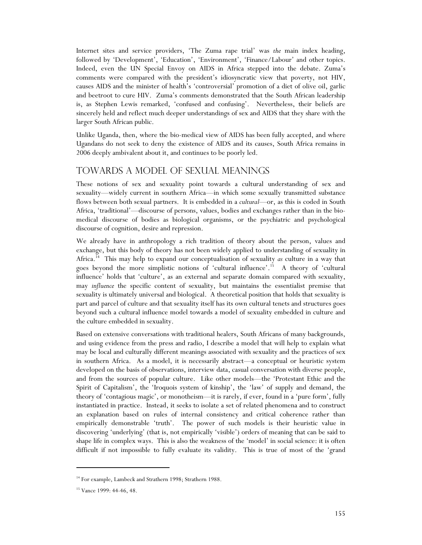Internet sites and service providers, 'The Zuma rape trial' was *the* main index heading, followed by 'Development', 'Education', 'Environment', 'Finance/Labour' and other topics. Indeed, even the UN Special Envoy on AIDS in Africa stepped into the debate. Zuma's comments were compared with the president's idiosyncratic view that poverty, not HIV, causes AIDS and the minister of health's 'controversial' promotion of a diet of olive oil, garlic and beetroot to cure HIV. Zuma's comments demonstrated that the South African leadership is, as Stephen Lewis remarked, 'confused and confusing'. Nevertheless, their beliefs are sincerely held and reflect much deeper understandings of sex and AIDS that they share with the larger South African public.

Unlike Uganda, then, where the bio-medical view of AIDS has been fully accepted, and where Ugandans do not seek to deny the existence of AIDS and its causes, South Africa remains in 2006 deeply ambivalent about it, and continues to be poorly led.

## Towards a model of sexual meanings

These notions of sex and sexuality point towards a cultural understanding of sex and sexuality—widely current in southern Africa—in which some sexually transmitted substance flows between both sexual partners. It is embedded in a *cultural*—or, as this is coded in South Africa, 'traditional'*—*discourse of persons, values, bodies and exchanges rather than in the biomedical discourse of bodies as biological organisms, or the psychiatric and psychological discourse of cognition, desire and repression.

We already have in anthropology a rich tradition of theory about the person, values and exchange, but this body of theory has not been widely applied to understanding of sexuality in Africa.14 This may help to expand our conceptualisation of sexuality *as* culture in a way that goes beyond the more simplistic notions of 'cultural influence'.15 A theory of 'cultural influence' holds that 'culture', as an external and separate domain compared with sexuality, may *influence* the specific content of sexuality, but maintains the essentialist premise that sexuality is ultimately universal and biological. A theoretical position that holds that sexuality is part and parcel of culture and that sexuality itself has its own cultural tenets and structures goes beyond such a cultural influence model towards a model of sexuality embedded in culture and the culture embedded in sexuality.

Based on extensive conversations with traditional healers, South Africans of many backgrounds, and using evidence from the press and radio, I describe a model that will help to explain what may be local and culturally different meanings associated with sexuality and the practices of sex in southern Africa. As a model, it is necessarily abstract—a conceptual or heuristic system developed on the basis of observations, interview data, casual conversation with diverse people, and from the sources of popular culture. Like other models—the 'Protestant Ethic and the Spirit of Capitalism', the 'Iroquois system of kinship', the 'law' of supply and demand, the theory of 'contagious magic', or monotheism—it is rarely, if ever, found in a 'pure form', fully instantiated in practice. Instead, it seeks to isolate a set of related phenomena and to construct an explanation based on rules of internal consistency and critical coherence rather than empirically demonstrable 'truth'. The power of such models is their heuristic value in discovering 'underlying' (that is, not empirically 'visible') orders of meaning that can be said to shape life in complex ways. This is also the weakness of the 'model' in social science: it is often difficult if not impossible to fully evaluate its validity. This is true of most of the 'grand

<sup>&</sup>lt;sup>14</sup> For example, Lambeck and Strathern 1998; Strathern 1988.

<sup>15</sup> Vance 1999: 44-46, 48.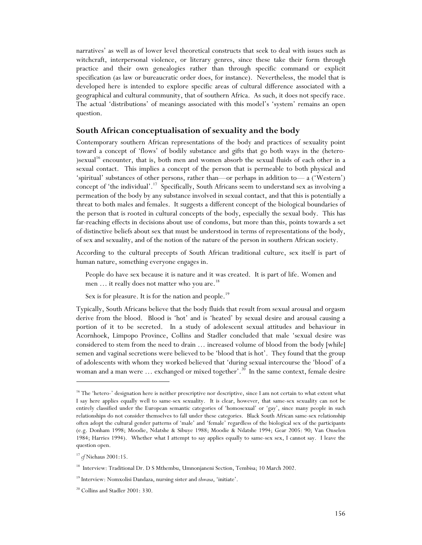narratives' as well as of lower level theoretical constructs that seek to deal with issues such as witchcraft, interpersonal violence, or literary genres, since these take their form through practice and their own genealogies rather than through specific command or explicit specification (as law or bureaucratic order does, for instance). Nevertheless, the model that is developed here is intended to explore specific areas of cultural difference associated with a geographical and cultural community, that of southern Africa. As such, it does not specify race. The actual 'distributions' of meanings associated with this model's 'system' remains an open question.

#### **South African conceptualisation of sexuality and the body**

Contemporary southern African representations of the body and practices of sexuality point toward a concept of 'flows' of bodily substance and gifts that go both ways in the (hetero- )sexual<sup>16</sup> encounter, that is, both men and women absorb the sexual fluids of each other in a sexual contact. This implies a concept of the person that is permeable to both physical and 'spiritual' substances of other persons, rather than—or perhaps in addition to— a ('Western') concept of 'the individual'.<sup>17</sup> Specifically, South Africans seem to understand sex as involving a permeation of the body by any substance involved in sexual contact, and that this is potentially a threat to both males and females. It suggests a different concept of the biological boundaries of the person that is rooted in cultural concepts of the body, especially the sexual body. This has far-reaching effects in decisions about use of condoms, but more than this, points towards a set of distinctive beliefs about sex that must be understood in terms of representations of the body, of sex and sexuality, and of the notion of the nature of the person in southern African society.

According to the cultural precepts of South African traditional culture, sex itself is part of human nature, something everyone engages in.

People do have sex because it is nature and it was created. It is part of life. Women and men ... it really does not matter who you are.<sup>18</sup>

Sex is for pleasure. It is for the nation and people.<sup>19</sup>

Typically, South Africans believe that the body fluids that result from sexual arousal and orgasm derive from the blood. Blood is 'hot' and is 'heated' by sexual desire and arousal causing a portion of it to be secreted. In a study of adolescent sexual attitudes and behaviour in Acornhoek, Limpopo Province, Collins and Stadler concluded that male 'sexual desire was considered to stem from the need to drain … increased volume of blood from the body [while] semen and vaginal secretions were believed to be 'blood that is hot'. They found that the group of adolescents with whom they worked believed that 'during sexual intercourse the 'blood' of a woman and a man were  $\ldots$  exchanged or mixed together'.<sup>20</sup> In the same context, female desire

<sup>&</sup>lt;sup>16</sup> The 'hetero-' designation here is neither prescriptive nor descriptive, since I am not certain to what extent what I say here applies equally well to same-sex sexuality. It is clear, however, that same-sex sexuality can not be entirely classified under the European semantic categories of 'homosexual' or 'gay', since many people in such relationships do not consider themselves to fall under these categories. Black South African same-sex relationship often adopt the cultural gender patterns of 'male' and 'female' regardless of the biological sex of the participants (e.g. Donham 1998; Moodie, Ndatshe & Sibuye 1988; Moodie & Ndatshe 1994; Gear 2005: 90; Van Onselen 1984; Harries 1994). Whether what I attempt to say applies equally to same-sex sex, I cannot say. I leave the question open.

<sup>17</sup> *cf* Niehaus 2001:15.

<sup>&</sup>lt;sup>18</sup> Interview: Traditional Dr. D S Mthembu, Umnonjaneni Section, Tembisa; 10 March 2002.

<sup>&</sup>lt;sup>19</sup> Interview: Nomxolisi Dandaza, nursing sister and *thwasa*, 'initiate'.

<sup>&</sup>lt;sup>20</sup> Collins and Stadler 2001: 330.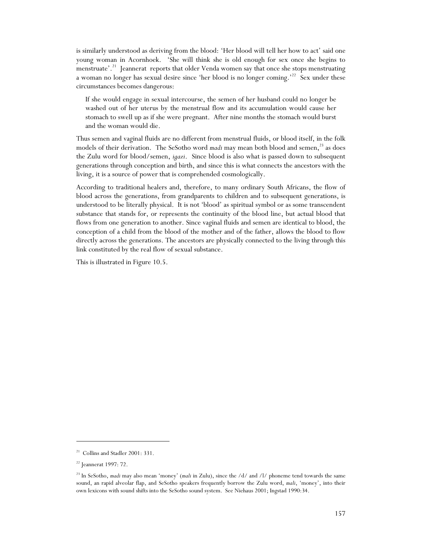is similarly understood as deriving from the blood: 'Her blood will tell her how to act' said one young woman in Acornhoek. 'She will think she is old enough for sex once she begins to menstruate'.<sup>21</sup> Jeannerat reports that older Venda women say that once she stops menstruating a woman no longer has sexual desire since 'her blood is no longer coming.'<sup>22</sup> Sex under these circumstances becomes dangerous:

If she would engage in sexual intercourse, the semen of her husband could no longer be washed out of her uterus by the menstrual flow and its accumulation would cause her stomach to swell up as if she were pregnant. After nine months the stomach would burst and the woman would die.

Thus semen and vaginal fluids are no different from menstrual fluids, or blood itself, in the folk models of their derivation. The SeSotho word *madi* may mean both blood and semen,<sup>23</sup> as does the Zulu word for blood/semen, *igazi*. Since blood is also what is passed down to subsequent generations through conception and birth, and since this is what connects the ancestors with the living, it is a source of power that is comprehended cosmologically.

According to traditional healers and, therefore, to many ordinary South Africans, the flow of blood across the generations, from grandparents to children and to subsequent generations, is understood to be literally physical. It is not 'blood' as spiritual symbol or as some transcendent substance that stands for, or represents the continuity of the blood line, but actual blood that flows from one generation to another. Since vaginal fluids and semen are identical to blood, the conception of a child from the blood of the mother and of the father, allows the blood to flow directly across the generations. The ancestors are physically connected to the living through this link constituted by the real flow of sexual substance.

This is illustrated in Figure 10.5.

<sup>&</sup>lt;sup>21</sup> Collins and Stadler 2001: 331.

<sup>22</sup> Jeannerat 1997: 72.

<sup>&</sup>lt;sup>23</sup> In SeSotho, *madi* may also mean 'money' (*mali* in Zulu), since the /d/ and /l/ phoneme tend towards the same sound, an rapid alveolar flap, and SeSotho speakers frequently borrow the Zulu word, *mali*, 'money', into their own lexicons with sound shifts into the SeSotho sound system. See Niehaus 2001; Ingstad 1990:34.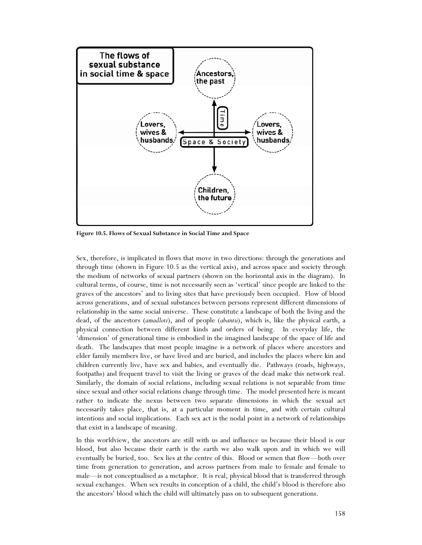

**Figure 10.5. Flows of Sexual Substance in Social Time and Space** 

Sex, therefore, is implicated in flows that move in two directions: through the generations and through time (shown in Figure 10.5 as the vertical axis), and across space and society through the medium of networks of sexual partners (shown on the horizontal axis in the diagram). In cultural terms, of course, time is not necessarily seen as 'vertical' since people are linked to the graves of the ancestors' and to living sites that have previously been occupied. Flow of blood across generations, and of sexual substances between persons represent different dimensions of relationship in the same social universe. These constitute a landscape of both the living and the dead, of the ancestors (*amadloti*), and of people (*abantu*), which is, like the physical earth, a physical connection between different kinds and orders of being. In everyday life, the 'dimension' of generational time is embodied in the imagined landscape of the space of life and death. The landscapes that most people imagine is a network of places where ancestors and elder family members live, or have lived and are buried, and includes the places where kin and children currently live, have sex and babies, and eventually die. Pathways (roads, highways, footpaths) and frequent travel to visit the living or graves of the dead make this network real. Similarly, the domain of social relations, including sexual relations is not separable from time since sexual and other social relations change through time. The model presented here is meant rather to indicate the nexus between two separate dimensions in which the sexual act necessarily takes place, that is, at a particular moment in time, and with certain cultural intentions and social implications. Each sex act is the nodal point in a network of relationships that exist in a landscape of meaning.

In this worldview, the ancestors are still with us and influence us because their blood is our blood, but also because their earth is the earth we also walk upon and in which we will eventually be buried, too. Sex lies at the centre of this. Blood or semen that flow—both over time from generation to generation, and across partners from male to female and female to male—is not conceptualised as a metaphor. It is real, physical blood that is transferred through sexual exchanges. When sex results in conception of a child, the child's blood is therefore also the ancestors' blood which the child will ultimately pass on to subsequent generations.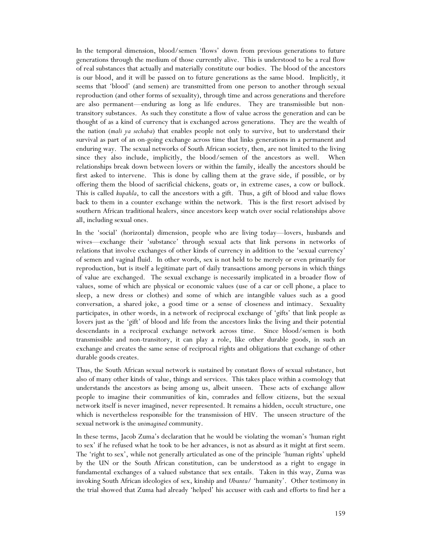In the temporal dimension, blood/semen 'flows' down from previous generations to future generations through the medium of those currently alive. This is understood to be a real flow of real substances that actually and materially constitute our bodies. The blood of the ancestors is our blood, and it will be passed on to future generations as the same blood. Implicitly, it seems that 'blood' (and semen) are transmitted from one person to another through sexual reproduction (and other forms of sexuality), through time and across generations and therefore are also permanent—enduring as long as life endures. They are transmissible but nontransitory substances. As such they constitute a flow of value across the generation and can be thought of as a kind of currency that is exchanged across generations. They are the wealth of the nation (*mali ya sechaba*) that enables people not only to survive, but to understand their survival as part of an on-going exchange across time that links generations in a permanent and enduring way. The sexual networks of South African society, then, are not limited to the living since they also include, implicitly, the blood/semen of the ancestors as well. When relationships break down between lovers or within the family, ideally the ancestors should be first asked to intervene. This is done by calling them at the grave side, if possible, or by offering them the blood of sacrificial chickens, goats or, in extreme cases, a cow or bullock. This is called *kupahla*, to call the ancestors with a gift. Thus, a gift of blood and value flows back to them in a counter exchange within the network. This is the first resort advised by southern African traditional healers, since ancestors keep watch over social relationships above all, including sexual ones.

In the 'social' (horizontal) dimension, people who are living today—lovers, husbands and wives—exchange their 'substance' through sexual acts that link persons in networks of relations that involve exchanges of other kinds of currency in addition to the 'sexual currency' of semen and vaginal fluid. In other words, sex is not held to be merely or even primarily for reproduction, but is itself a legitimate part of daily transactions among persons in which things of value are exchanged. The sexual exchange is necessarily implicated in a broader flow of values, some of which are physical or economic values (use of a car or cell phone, a place to sleep, a new dress or clothes) and some of which are intangible values such as a good conversation, a shared joke, a good time or a sense of closeness and intimacy. Sexuality participates, in other words, in a network of reciprocal exchange of 'gifts' that link people as lovers just as the 'gift' of blood and life from the ancestors links the living and their potential descendants in a reciprocal exchange network across time. Since blood/semen is both transmissible and non-transitory, it can play a role, like other durable goods, in such an exchange and creates the same sense of reciprocal rights and obligations that exchange of other durable goods creates.

Thus, the South African sexual network is sustained by constant flows of sexual substance, but also of many other kinds of value, things and services. This takes place within a cosmology that understands the ancestors as being among us, albeit unseen. These acts of exchange allow people to imagine their communities of kin, comrades and fellow citizens, but the sexual network itself is never imagined, never represented. It remains a hidden, occult structure, one which is nevertheless responsible for the transmission of HIV. The unseen structure of the sexual network is the *unimagined* community.

In these terms, Jacob Zuma's declaration that he would be violating the woman's 'human right to sex' if he refused what he took to be her advances, is not as absurd as it might at first seem. The 'right to sex', while not generally articulated as one of the principle 'human rights' upheld by the UN or the South African constitution, can be understood as a right to engage in fundamental exchanges of a valued substance that sex entails. Taken in this way, Zuma was invoking South African ideologies of sex, kinship and *Ubuntu*/ 'humanity'. Other testimony in the trial showed that Zuma had already 'helped' his accuser with cash and efforts to find her a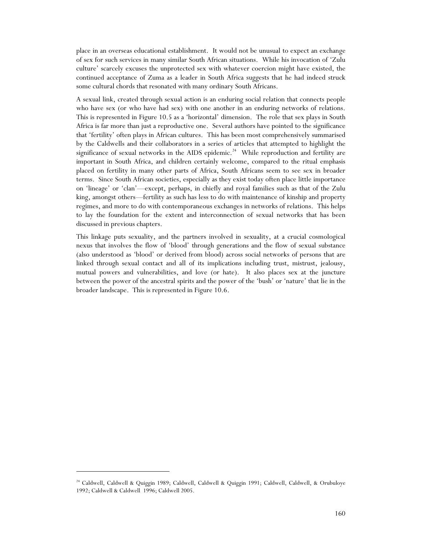place in an overseas educational establishment. It would not be unusual to expect an exchange of sex for such services in many similar South African situations. While his invocation of 'Zulu culture' scarcely excuses the unprotected sex with whatever coercion might have existed, the continued acceptance of Zuma as a leader in South Africa suggests that he had indeed struck some cultural chords that resonated with many ordinary South Africans.

A sexual link, created through sexual action is an enduring social relation that connects people who have sex (or who have had sex) with one another in an enduring networks of relations. This is represented in Figure 10.5 as a 'horizontal' dimension. The role that sex plays in South Africa is far more than just a reproductive one. Several authors have pointed to the significance that 'fertility' often plays in African cultures. This has been most comprehensively summarised by the Caldwells and their collaborators in a series of articles that attempted to highlight the significance of sexual networks in the AIDS epidemic.<sup>24</sup> While reproduction and fertility are important in South Africa, and children certainly welcome, compared to the ritual emphasis placed on fertility in many other parts of Africa, South Africans seem to see sex in broader terms. Since South African societies, especially as they exist today often place little importance on 'lineage' or 'clan'—except, perhaps, in chiefly and royal families such as that of the Zulu king, amongst others—fertility as such has less to do with maintenance of kinship and property regimes, and more to do with contemporaneous exchanges in networks of relations. This helps to lay the foundation for the extent and interconnection of sexual networks that has been discussed in previous chapters.

This linkage puts sexuality, and the partners involved in sexuality, at a crucial cosmological nexus that involves the flow of 'blood' through generations and the flow of sexual substance (also understood as 'blood' or derived from blood) across social networks of persons that are linked through sexual contact and all of its implications including trust, mistrust, jealousy, mutual powers and vulnerabilities, and love (or hate). It also places sex at the juncture between the power of the ancestral spirits and the power of the 'bush' or 'nature' that lie in the broader landscape. This is represented in Figure 10.6.

<sup>&</sup>lt;sup>24</sup> Caldwell, Caldwell & Quiggin 1989; Caldwell, Caldwell & Quiggin 1991; Caldwell, Caldwell, & Orubuloye 1992; Caldwell & Caldwell 1996; Caldwell 2005.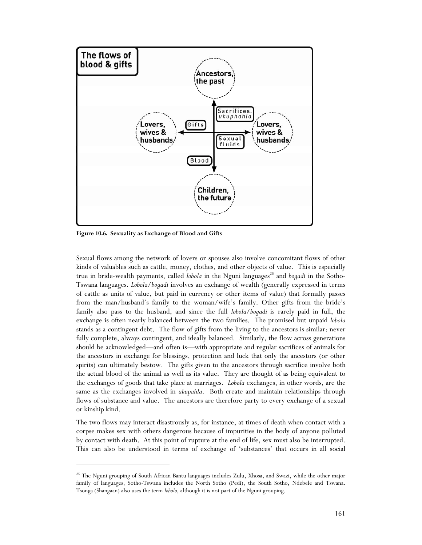

**Figure 10.6. Sexuality as Exchange of Blood and Gifts** 

 $\overline{a}$ 

Sexual flows among the network of lovers or spouses also involve concomitant flows of other kinds of valuables such as cattle, money, clothes, and other objects of value. This is especially true in bride-wealth payments, called *lobola* in the Nguni languages<sup>25</sup> and *bogadi* in the Sotho-Tswana languages. *Lobola*/*bogadi* involves an exchange of wealth (generally expressed in terms of cattle as units of value, but paid in currency or other items of value) that formally passes from the man/husband's family to the woman/wife's family. Other gifts from the bride's family also pass to the husband, and since the full *lobola*/*bogadi* is rarely paid in full, the exchange is often nearly balanced between the two families. The promised but unpaid *lobola* stands as a contingent debt. The flow of gifts from the living to the ancestors is similar: never fully complete, always contingent, and ideally balanced. Similarly, the flow across generations should be acknowledged—and often is—with appropriate and regular sacrifices of animals for the ancestors in exchange for blessings, protection and luck that only the ancestors (or other spirits) can ultimately bestow. The gifts given to the ancestors through sacrifice involve both the actual blood of the animal as well as its value. They are thought of as being equivalent to the exchanges of goods that take place at marriages. *Lobola* exchanges, in other words, are the same as the exchanges involved in *ukupahla*. Both create and maintain relationships through flows of substance and value. The ancestors are therefore party to every exchange of a sexual or kinship kind.

The two flows may interact disastrously as, for instance, at times of death when contact with a corpse makes sex with others dangerous because of impurities in the body of anyone polluted by contact with death. At this point of rupture at the end of life, sex must also be interrupted. This can also be understood in terms of exchange of 'substances' that occurs in all social

<sup>&</sup>lt;sup>25</sup> The Nguni grouping of South African Bantu languages includes Zulu, Xhosa, and Swazi, while the other major family of languages, Sotho-Tswana includes the North Sotho (Pedi), the South Sotho, Ndebele and Tswana. Tsonga (Shangaan) also uses the term *lobolo*, although it is not part of the Nguni grouping.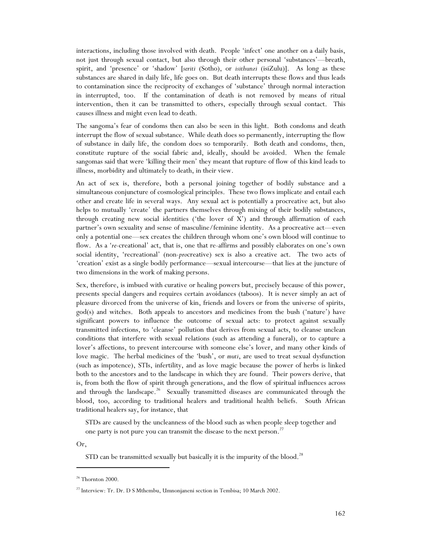interactions, including those involved with death. People 'infect' one another on a daily basis, not just through sexual contact, but also through their other personal 'substances'—breath, spirit, and 'presence' or 'shadow' [*seriti* (Sotho), or *isithunzi* (isiZulu)]. As long as these substances are shared in daily life, life goes on. But death interrupts these flows and thus leads to contamination since the reciprocity of exchanges of 'substance' through normal interaction in interrupted, too. If the contamination of death is not removed by means of ritual intervention, then it can be transmitted to others, especially through sexual contact. This causes illness and might even lead to death.

The sangoma's fear of condoms then can also be seen in this light. Both condoms and death interrupt the flow of sexual substance. While death does so permanently, interrupting the flow of substance in daily life, the condom does so temporarily. Both death and condoms, then, constitute rupture of the social fabric and, ideally, should be avoided. When the female sangomas said that were 'killing their men' they meant that rupture of flow of this kind leads to illness, morbidity and ultimately to death, in their view.

An act of sex is, therefore, both a personal joining together of bodily substance and a simultaneous conjuncture of cosmological principles. These two flows implicate and entail each other and create life in several ways. Any sexual act is potentially a procreative act, but also helps to mutually 'create' the partners themselves through mixing of their bodily substances, through creating new social identities ('the lover of X') and through affirmation of each partner's own sexuality and sense of masculine/feminine identity. As a procreative act—even only a potential one—sex creates the children through whom one's own blood will continue to flow. As a '*re*-creational' act, that is, one that re-affirms and possibly elaborates on one's own social identity, 'recreational' (non-*pro*creative) sex is also a creative act. The two acts of 'creation' exist as a single bodily performance—sexual intercourse—that lies at the juncture of two dimensions in the work of making persons.

Sex, therefore, is imbued with curative or healing powers but, precisely because of this power, presents special dangers and requires certain avoidances (taboos). It is never simply an act of pleasure divorced from the universe of kin, friends and lovers or from the universe of spirits, god(s) and witches. Both appeals to ancestors and medicines from the bush ('nature') have significant powers to influence the outcome of sexual acts: to protect against sexually transmitted infections, to 'cleanse' pollution that derives from sexual acts, to cleanse unclean conditions that interfere with sexual relations (such as attending a funeral), or to capture a lover's affections, to prevent intercourse with someone else's lover, and many other kinds of love magic. The herbal medicines of the 'bush', or *muti*, are used to treat sexual dysfunction (such as impotence), STIs, infertility, and as love magic because the power of herbs is linked both to the ancestors and to the landscape in which they are found. Their powers derive, that is, from both the flow of spirit through generations, and the flow of spiritual influences across and through the landscape.<sup>26</sup> Sexually transmitted diseases are communicated through the blood, too, according to traditional healers and traditional health beliefs. South African traditional healers say, for instance, that

STDs are caused by the uncleanness of the blood such as when people sleep together and one party is not pure you can transmit the disease to the next person.<sup>27</sup>

Or,

 $\overline{a}$ 

STD can be transmitted sexually but basically it is the impurity of the blood.<sup>28</sup>

 $26$  Thornton 2000.

<sup>&</sup>lt;sup>27</sup> Interview: Tr. Dr. D S Mthembu, Umnonjaneni section in Tembisa; 10 March 2002.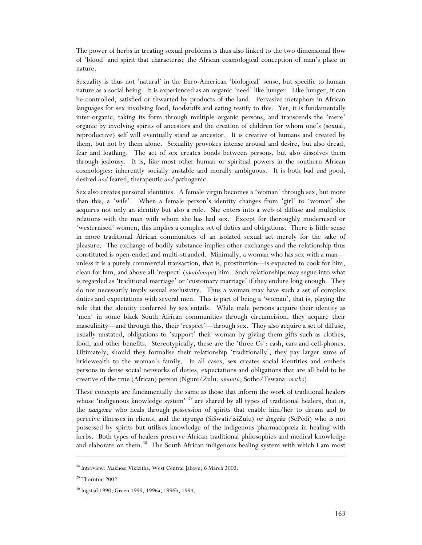The power of herbs in treating sexual problems is thus also linked to the two dimensional flow of 'blood' and spirit that characterise the African cosmological conception of man's place in nature.

Sexuality is thus not 'natural' in the Euro-American 'biological' sense, but specific to human nature as a social being. It is experienced as an organic 'need' like hunger. Like hunger, it can be controlled, satisfied or thwarted by products of the land. Pervasive metaphors in African languages for sex involving food, foodstuffs and eating testify to this. Yet, it is fundamentally inter-organic, taking its form through multiple organic persons, and transcends the 'mere' organic by involving spirits of ancestors and the creation of children for whom one's (sexual, reproductive) self will eventually stand as ancestor. It is creative of humans and created by them, but not by them alone. Sexuality provokes intense arousal and desire, but also dread, fear and loathing. The act of sex creates bonds between persons, but also dissolves them through jealousy. It is, like most other human or spiritual powers in the southern African cosmologies: inherently socially unstable and morally ambiguous. It is both bad *and* good, desired *and* feared, therapeutic *and* pathogenic.

Sex also creates personal identities. A female virgin becomes a 'woman' through sex, but more than this, a 'wife'. When a female person's identity changes from 'girl' to 'woman' she acquires not only an identity but also a role. She enters into a web of diffuse and multiplex relations with the man with whom she has had sex. Except for thoroughly modernised or 'westernised' women, this implies a complex set of duties and obligations. There is little sense in more traditional African communities of an isolated sexual act merely for the sake of pleasure. The exchange of bodily substance implies other exchanges and the relationship thus constituted is open-ended and multi-stranded. Minimally, a woman who has sex with a man unless it is a purely commercial transaction, that is, prostitution—is expected to cook for him, clean for him, and above all 'respect' (*ukuhlonipa*) him. Such relationships may segue into what is regarded as 'traditional marriage' or 'customary marriage' if they endure long enough. They do not necessarily imply sexual exclusivity. Thus a woman may have such a set of complex duties and expectations with several men. This is part of being a 'woman', that is, playing the role that the identity conferred by sex entails. While male persons acquire their identity as 'men' in some black South African communities through circumcision, they acquire their masculinity—and through this, their 'respect'—through sex. They also acquire a set of diffuse, usually unstated, obligations to 'support' their woman by giving them gifts such as clothes, food, and other benefits. Stereotypically, these are the 'three Cs': cash, cars and cell-phones. Ultimately, should they formalise their relationship 'traditionally', they pay larger sums of bridewealth to the woman's family. In all cases, sex creates social identities and embeds persons in dense social networks of duties, expectations and obligations that are all held to be creative of the true (African) person (Nguni/Zulu: *umuntu*; Sotho/Tswana: *motho*).

These concepts are fundamentally the same as those that inform the work of traditional healers whose 'indigenous knowledge system' <sup>29</sup> are shared by all types of traditional healers, that is, the *isangoma* who heals through possession of spirits that enable him/her to dream and to perceive illnesses in clients, and the *inyanga* (SiSwati/isiZulu) or *dingaka* (SePedi) who is not possessed by spirits but utilises knowledge of the indigenous pharmacopœia in healing with herbs. Both types of healers preserve African traditional philosophies and medical knowledge and elaborate on them. $30$  The South African indigenous healing system with which I am most

<sup>28</sup> Interview: Makhosi Vikizitha, West Central Jabavu; 6 March 2002.

 $29$  Thornton 2002.

<sup>&</sup>lt;sup>30</sup> Ingstad 1990; Green 1999, 1996a, 1996b, 1994.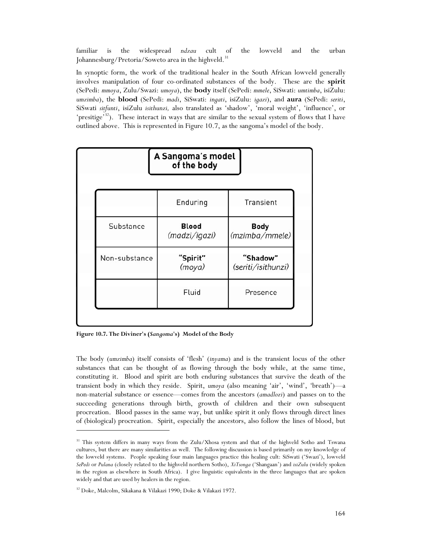familiar is the widespread *ndzau* cult of the lowveld and the urban Johannesburg/Pretoria/Soweto area in the highveld.<sup>31</sup>

In synoptic form, the work of the traditional healer in the South African lowveld generally involves manipulation of four co-ordinated substances of the body. These are the **spirit**  (SePedi: *mmoya*, Zulu/Swazi: *umoya*), the **body** itself (SePedi: *mmele*, SiSwati: *umtimba*, isiZulu: *umzimba*), the **blood** (SePedi: *madi*, SiSwati: *ingati*, isiZulu: *igazi*), and **aura** (SePedi: *seriti*, SiSwati *sitfunti*, isiZulu *isithunzi,* also translated as 'shadow', 'moral weight', 'influence', or 'presitige'<sup>32</sup>). These interact in ways that are similar to the sexual system of flows that I have outlined above. This is represented in Figure 10.7, as the sangoma's model of the body.

| Transient<br>Enduring                                                       |  |
|-----------------------------------------------------------------------------|--|
|                                                                             |  |
| Substance<br><b>Blood</b><br><b>Body</b><br>(mzimba/mmele)<br>(madzi/igazi) |  |
| "Shadow"<br>Non-substance<br>"Spirit"<br>(seriti/isithunzi)<br>(moya)       |  |
| Fluid<br>Presence                                                           |  |

**Figure 10.7. The Diviner's (***Sangoma***'s) Model of the Body** 

The body (*umzimba*) itself consists of 'flesh' (*inyama*) and is the transient locus of the other substances that can be thought of as flowing through the body while, at the same time, constituting it. Blood and spirit are both enduring substances that survive the death of the transient body in which they reside. Spirit, *umoya* (also meaning 'air', 'wind', 'breath')—a non-material substance or essence—comes from the ancestors (*amadlozi*) and passes on to the succeeding generations through birth, growth of children and their own subsequent procreation. Blood passes in the same way, but unlike spirit it only flows through direct lines of (biological) procreation. Spirit, especially the ancestors, also follow the lines of blood, but

<sup>&</sup>lt;sup>31</sup> This system differs in many ways from the Zulu/Xhosa system and that of the highveld Sotho and Tswana cultures, but there are many similarities as well. The following discussion is based primarily on my knowledge of the lowveld systems. People speaking four main languages practice this healing cult: SiSwati ('Swazi'), lowveld *SePedi* or *Pulana* (closely related to the highveld northern Sotho), *XiTsonga* ('Shangaan') and *isiZulu* (widely spoken in the region as elsewhere in South Africa). I give linguistic equivalents in the three languages that are spoken widely and that are used by healers in the region.

<sup>32</sup> Doke, Malcolm, Sikakana & Vilakazi 1990; Doke & Vilakazi 1972.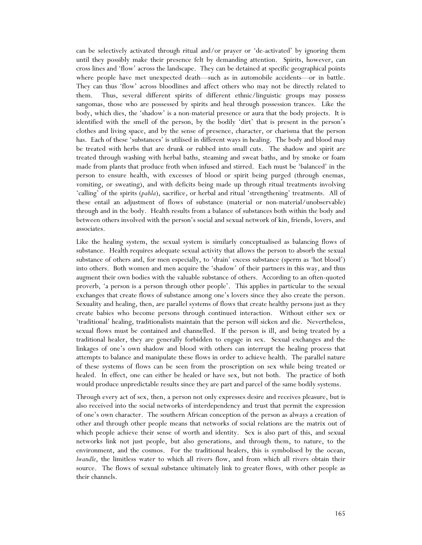can be selectively activated through ritual and/or prayer or 'de-activated' by ignoring them until they possibly make their presence felt by demanding attention. Spirits, however, can cross lines and 'flow' across the landscape. They can be detained at specific geographical points where people have met unexpected death—such as in automobile accidents—or in battle. They can thus 'flow' across bloodlines and affect others who may not be directly related to them. Thus, several different spirits of different ethnic/linguistic groups may possess sangomas, those who are possessed by spirits and heal through possession trances. Like the body, which dies, the 'shadow' is a non-material presence or aura that the body projects. It is identified with the smell of the person, by the bodily 'dirt' that is present in the person's clothes and living space, and by the sense of presence, character, or charisma that the person has. Each of these 'substances' is utilised in different ways in healing. The body and blood may be treated with herbs that are drunk or rubbed into small cuts. The shadow and spirit are treated through washing with herbal baths, steaming and sweat baths, and by smoke or foam made from plants that produce froth when infused and stirred. Each must be 'balanced' in the person to ensure health, with excesses of blood or spirit being purged (through enemas, vomiting, or sweating), and with deficits being made up through ritual treatments involving 'calling' of the spirits (*pahla*), sacrifice, or herbal and ritual 'strengthening' treatments. All of these entail an adjustment of flows of substance (material or non-material/unobservable) through and in the body. Health results from a balance of substances both within the body and between others involved with the person's social and sexual network of kin, friends, lovers, and associates.

Like the healing system, the sexual system is similarly conceptualised as balancing flows of substance. Health requires adequate sexual activity that allows the person to absorb the sexual substance of others and, for men especially, to 'drain' excess substance (sperm as 'hot blood') into others. Both women and men acquire the 'shadow' of their partners in this way, and thus augment their own bodies with the valuable substance of others. According to an often-quoted proverb, 'a person is a person through other people'. This applies in particular to the sexual exchanges that create flows of substance among one's lovers since they also create the person. Sexuality and healing, then, are parallel systems of flows that create healthy persons just as they create babies who become persons through continued interaction. Without either sex or 'traditional' healing, traditionalists maintain that the person will sicken and die. Nevertheless, sexual flows must be contained and channelled. If the person is ill, and being treated by a traditional healer, they are generally forbidden to engage in sex. Sexual exchanges and the linkages of one's own shadow and blood with others can interrupt the healing process that attempts to balance and manipulate these flows in order to achieve health. The parallel nature of these systems of flows can be seen from the proscription on sex while being treated or healed. In effect, one can either be healed or have sex, but not both. The practice of both would produce unpredictable results since they are part and parcel of the same bodily systems.

Through every act of sex, then, a person not only expresses desire and receives pleasure, but is also received into the social networks of interdependency and trust that permit the expression of one's own character. The southern African conception of the person as always a creation of other and through other people means that networks of social relations are the matrix out of which people achieve their sense of worth and identity. Sex is also part of this, and sexual networks link not just people, but also generations, and through them, to nature, to the environment, and the cosmos. For the traditional healers, this is symbolised by the ocean, *lwandle*, the limitless water to which all rivers flow, and from which all rivers obtain their source. The flows of sexual substance ultimately link to greater flows, with other people as their channels.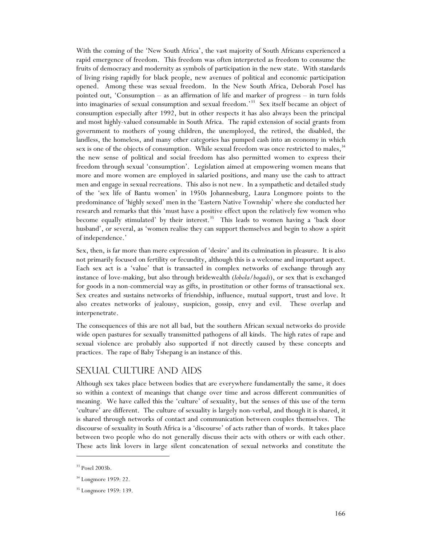With the coming of the 'New South Africa', the vast majority of South Africans experienced a rapid emergence of freedom. This freedom was often interpreted as freedom to consume the fruits of democracy and modernity as symbols of participation in the new state. With standards of living rising rapidly for black people, new avenues of political and economic participation opened. Among these was sexual freedom. In the New South Africa, Deborah Posel has pointed out, 'Consumption – as an affirmation of life and marker of progress – in turn folds into imaginaries of sexual consumption and sexual freedom.'33 Sex itself became an object of consumption especially after 1992, but in other respects it has also always been the principal and most highly-valued consumable in South Africa. The rapid extension of social grants from government to mothers of young children, the unemployed, the retired, the disabled, the landless, the homeless, and many other categories has pumped cash into an economy in which sex is one of the objects of consumption. While sexual freedom was once restricted to males,<sup>34</sup> the new sense of political and social freedom has also permitted women to express their freedom through sexual 'consumption'. Legislation aimed at empowering women means that more and more women are employed in salaried positions, and many use the cash to attract men and engage in sexual recreations. This also is not new. In a sympathetic and detailed study of the 'sex life of Bantu women' in 1950s Johannesburg, Laura Longmore points to the predominance of 'highly sexed' men in the 'Eastern Native Township' where she conducted her research and remarks that this 'must have a positive effect upon the relatively few women who become equally stimulated' by their interest. $35$  This leads to women having a 'back door husband', or several, as 'women realise they can support themselves and begin to show a spirit of independence.'

Sex, then, is far more than mere expression of 'desire' and its culmination in pleasure. It is also not primarily focused on fertility or fecundity, although this is a welcome and important aspect. Each sex act is a 'value' that is transacted in complex networks of exchange through any instance of love-making, but also through bridewealth (*lobola*/*bogadi*), or sex that is exchanged for goods in a non-commercial way as gifts, in prostitution or other forms of transactional sex. Sex creates and sustains networks of friendship, influence, mutual support, trust and love. It also creates networks of jealousy, suspicion, gossip, envy and evil. These overlap and interpenetrate.

The consequences of this are not all bad, but the southern African sexual networks do provide wide open pastures for sexually transmitted pathogens of all kinds. The high rates of rape and sexual violence are probably also supported if not directly caused by these concepts and practices. The rape of Baby Tshepang is an instance of this.

## Sexual culture and AIDS

Although sex takes place between bodies that are everywhere fundamentally the same, it does so within a context of meanings that change over time and across different communities of meaning. We have called this the 'culture' of sexuality, but the senses of this use of the term 'culture' are different. The culture of sexuality is largely non-verbal, and though it is shared, it is shared through networks of contact and communication between couples themselves. The discourse of sexuality in South Africa is a 'discourse' of acts rather than of words. It takes place between two people who do not generally discuss their acts with others or with each other. These acts link lovers in large silent concatenation of sexual networks and constitute the

<sup>33</sup> Posel 2003b.

<sup>34</sup> Longmore 1959: 22.

<sup>&</sup>lt;sup>35</sup> Longmore 1959: 139.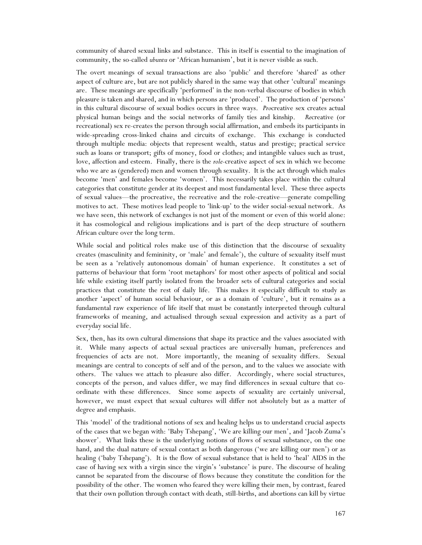community of shared sexual links and substance. This in itself is essential to the imagination of community, the so-called *ubuntu* or 'African humanism', but it is never visible as such.

The overt meanings of sexual transactions are also 'public' and therefore 'shared' as other aspect of culture are, but are not publicly shared in the same way that other 'cultural' meanings are. These meanings are specifically 'performed' in the non-verbal discourse of bodies in which pleasure is taken and shared, and in which persons are 'produced'. The production of 'persons' in this cultural discourse of sexual bodies occurs in three ways. *Pro*creative sex creates actual physical human beings and the social networks of family ties and kinship. *Re*creative (or recreational) sex re-creates the person through social affirmation, and embeds its participants in wide-spreading cross-linked chains and circuits of exchange. This exchange is conducted through multiple media: objects that represent wealth, status and prestige; practical service such as loans or transport; gifts of money, food or clothes; and intangible values such as trust, love, affection and esteem. Finally, there is the *role-*creative aspect of sex in which we become who we are as (gendered) men and women through sexuality. It is the act through which males become 'men' and females become 'women'. This necessarily takes place within the cultural categories that constitute gender at its deepest and most fundamental level. These three aspects of sexual values—the procreative, the recreative and the role-creative—generate compelling motives to act. These motives lead people to 'link-up' to the wider social-sexual network. As we have seen, this network of exchanges is not just of the moment or even of this world alone: it has cosmological and religious implications and is part of the deep structure of southern African culture over the long term.

While social and political roles make use of this distinction that the discourse of sexuality creates (masculinity and femininity, or 'male' and female'), the culture of sexuality itself must be seen as a 'relatively autonomous domain' of human experience. It constitutes a set of patterns of behaviour that form 'root metaphors' for most other aspects of political and social life while existing itself partly isolated from the broader sets of cultural categories and social practices that constitute the rest of daily life. This makes it especially difficult to study as another 'aspect' of human social behaviour, or as a domain of 'culture', but it remains as a fundamental raw experience of life itself that must be constantly interpreted through cultural frameworks of meaning, and actualised through sexual expression and activity as a part of everyday social life.

Sex, then, has its own cultural dimensions that shape its practice and the values associated with it. While many aspects of actual sexual practices are universally human, preferences and frequencies of acts are not. More importantly, the meaning of sexuality differs. Sexual meanings are central to concepts of self and of the person, and to the values we associate with others. The values we attach to pleasure also differ. Accordingly, where social structures, concepts of the person, and values differ, we may find differences in sexual culture that coordinate with these differences. Since some aspects of sexuality are certainly universal, however, we must expect that sexual cultures will differ not absolutely but as a matter of degree and emphasis.

This 'model' of the traditional notions of sex and healing helps us to understand crucial aspects of the cases that we began with: 'Baby Tshepang', 'We are killing our men', and 'Jacob Zuma's shower'. What links these is the underlying notions of flows of sexual substance, on the one hand, and the dual nature of sexual contact as both dangerous ('we are killing our men') or as healing ('baby Tshepang'). It is the flow of sexual substance that is held to 'heal' AIDS in the case of having sex with a virgin since the virgin's 'substance' is pure. The discourse of healing cannot be separated from the discourse of flows because they constitute the condition for the possibility of the other. The women who feared they were killing their men, by contrast, feared that their own pollution through contact with death, still-births, and abortions can kill by virtue